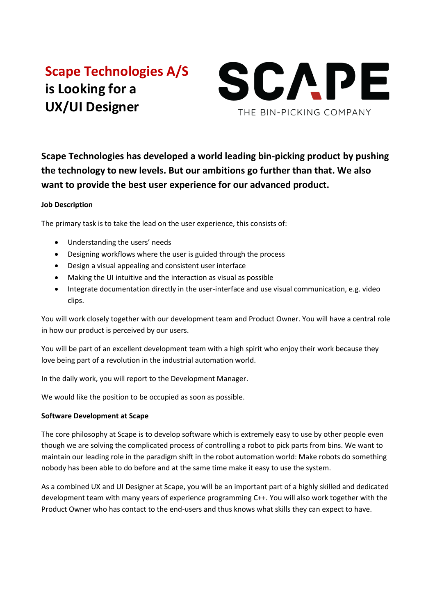# **Scape Technologies A/S is Looking for a UX/UI Designer**



**Scape Technologies has developed a world leading bin-picking product by pushing the technology to new levels. But our ambitions go further than that. We also want to provide the best user experience for our advanced product.**

# **Job Description**

The primary task is to take the lead on the user experience, this consists of:

- Understanding the users' needs
- Designing workflows where the user is guided through the process
- Design a visual appealing and consistent user interface
- Making the UI intuitive and the interaction as visual as possible
- Integrate documentation directly in the user-interface and use visual communication, e.g. video clips.

You will work closely together with our development team and Product Owner. You will have a central role in how our product is perceived by our users.

You will be part of an excellent development team with a high spirit who enjoy their work because they love being part of a revolution in the industrial automation world.

In the daily work, you will report to the Development Manager.

We would like the position to be occupied as soon as possible.

# **Software Development at Scape**

The core philosophy at Scape is to develop software which is extremely easy to use by other people even though we are solving the complicated process of controlling a robot to pick parts from bins. We want to maintain our leading role in the paradigm shift in the robot automation world: Make robots do something nobody has been able to do before and at the same time make it easy to use the system.

As a combined UX and UI Designer at Scape, you will be an important part of a highly skilled and dedicated development team with many years of experience programming C++. You will also work together with the Product Owner who has contact to the end-users and thus knows what skills they can expect to have.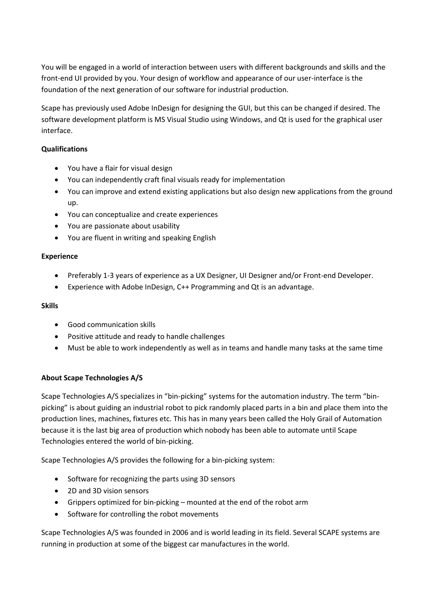You will be engaged in a world of interaction between users with different backgrounds and skills and the front-end UI provided by you. Your design of workflow and appearance of our user-interface is the foundation of the next generation of our software for industrial production.

Scape has previously used Adobe InDesign for designing the GUI, but this can be changed if desired. The software development platform is MS Visual Studio using Windows, and Qt is used for the graphical user interface.

## **Qualifications**

- You have a flair for visual design
- You can independently craft final visuals ready for implementation
- You can improve and extend existing applications but also design new applications from the ground up.
- You can conceptualize and create experiences
- You are passionate about usability
- You are fluent in writing and speaking English

#### **Experience**

- Preferably 1-3 years of experience as a UX Designer, UI Designer and/or Front-end Developer.
- Experience with Adobe InDesign, C++ Programming and Qt is an advantage.

## **Skills**

- Good communication skills
- Positive attitude and ready to handle challenges
- Must be able to work independently as well as in teams and handle many tasks at the same time

## **About Scape Technologies A/S**

Scape Technologies A/S specializes in "bin-picking" systems for the automation industry. The term "binpicking" is about guiding an industrial robot to pick randomly placed parts in a bin and place them into the production lines, machines, fixtures etc. This has in many years been called the Holy Grail of Automation because it is the last big area of production which nobody has been able to automate until Scape Technologies entered the world of bin-picking.

Scape Technologies A/S provides the following for a bin-picking system:

- Software for recognizing the parts using 3D sensors
- 2D and 3D vision sensors
- Grippers optimized for bin-picking mounted at the end of the robot arm
- Software for controlling the robot movements

Scape Technologies A/S was founded in 2006 and is world leading in its field. Several SCAPE systems are running in production at some of the biggest car manufactures in the world.